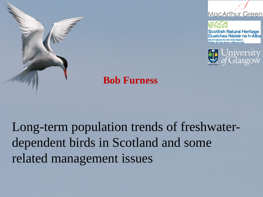



**Scottish Natural Heritage** Dualchas Nàdair na h-Alba All of nature for all of Scotland dar air fad airson Alba air fad



#### **Bob Furness**

Long-term population trends of freshwaterdependent birds in Scotland and some related management issues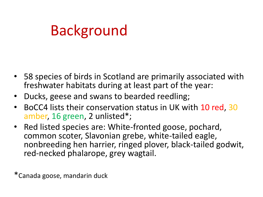## Background

- 58 species of birds in Scotland are primarily associated with freshwater habitats during at least part of the year:
- Ducks, geese and swans to bearded reedling;
- BoCC4 lists their conservation status in UK with 10 red, 30 amber, 16 green, 2 unlisted\*;
- Red listed species are: White-fronted goose, pochard, common scoter, Slavonian grebe, white-tailed eagle, nonbreeding hen harrier, ringed plover, black-tailed godwit, red-necked phalarope, grey wagtail.

\*Canada goose, mandarin duck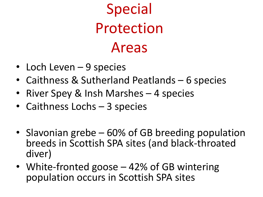# Special Protection Areas

- Loch Leven 9 species
- Caithness & Sutherland Peatlands 6 species
- River Spey & Insh Marshes 4 species
- Caithness Lochs 3 species
- Slavonian grebe 60% of GB breeding population breeds in Scottish SPA sites (and black-throated diver)
- White-fronted goose 42% of GB wintering population occurs in Scottish SPA sites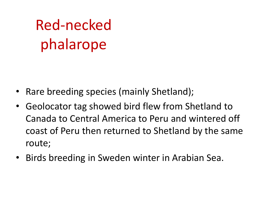# Red-necked phalarope

- Rare breeding species (mainly Shetland);
- Geolocator tag showed bird flew from Shetland to Canada to Central America to Peru and wintered off coast of Peru then returned to Shetland by the same route;
- Birds breeding in Sweden winter in Arabian Sea.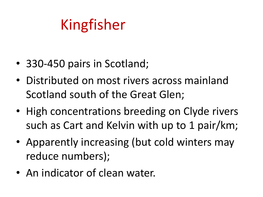## Kingfisher

- 330-450 pairs in Scotland;
- Distributed on most rivers across mainland Scotland south of the Great Glen;
- High concentrations breeding on Clyde rivers such as Cart and Kelvin with up to 1 pair/km;
- Apparently increasing (but cold winters may reduce numbers);
- An indicator of clean water.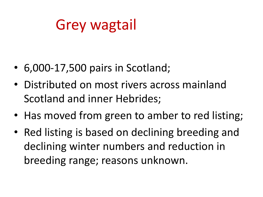## Grey wagtail

- 6,000-17,500 pairs in Scotland;
- Distributed on most rivers across mainland Scotland and inner Hebrides;
- Has moved from green to amber to red listing;
- Red listing is based on declining breeding and declining winter numbers and reduction in breeding range; reasons unknown.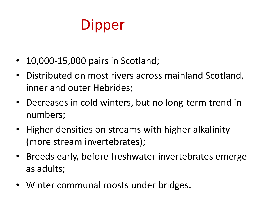## **Dipper**

- 10,000-15,000 pairs in Scotland;
- Distributed on most rivers across mainland Scotland, inner and outer Hebrides;
- Decreases in cold winters, but no long-term trend in numbers;
- Higher densities on streams with higher alkalinity (more stream invertebrates);
- Breeds early, before freshwater invertebrates emerge as adults;
- Winter communal roosts under bridges.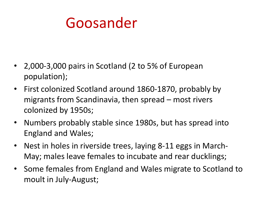## Goosander

- 2,000-3,000 pairs in Scotland (2 to 5% of European population);
- First colonized Scotland around 1860-1870, probably by migrants from Scandinavia, then spread – most rivers colonized by 1950s;
- Numbers probably stable since 1980s, but has spread into England and Wales;
- Nest in holes in riverside trees, laying 8-11 eggs in March-May; males leave females to incubate and rear ducklings;
- Some females from England and Wales migrate to Scotland to moult in July-August;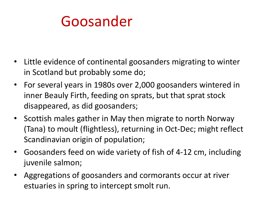### Goosander

- Little evidence of continental goosanders migrating to winter in Scotland but probably some do;
- For several years in 1980s over 2,000 goosanders wintered in inner Beauly Firth, feeding on sprats, but that sprat stock disappeared, as did goosanders;
- Scottish males gather in May then migrate to north Norway (Tana) to moult (flightless), returning in Oct-Dec; might reflect Scandinavian origin of population;
- Goosanders feed on wide variety of fish of 4-12 cm, including juvenile salmon;
- Aggregations of goosanders and cormorants occur at river estuaries in spring to intercept smolt run.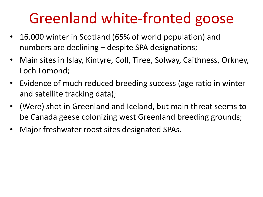## Greenland white-fronted goose

- 16,000 winter in Scotland (65% of world population) and numbers are declining – despite SPA designations;
- Main sites in Islay, Kintyre, Coll, Tiree, Solway, Caithness, Orkney, Loch Lomond;
- Evidence of much reduced breeding success (age ratio in winter and satellite tracking data);
- (Were) shot in Greenland and Iceland, but main threat seems to be Canada geese colonizing west Greenland breeding grounds;
- Major freshwater roost sites designated SPAs.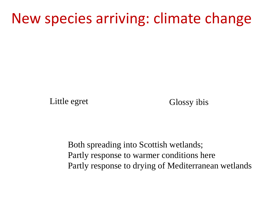#### New species arriving: climate change

Little egret Glossy ibis

Both spreading into Scottish wetlands; Partly response to warmer conditions here Partly response to drying of Mediterranean wetlands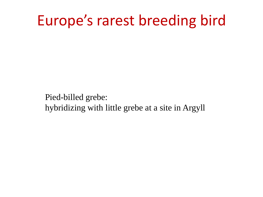#### Europe's rarest breeding bird

Pied-billed grebe: hybridizing with little grebe at a site in Argyll